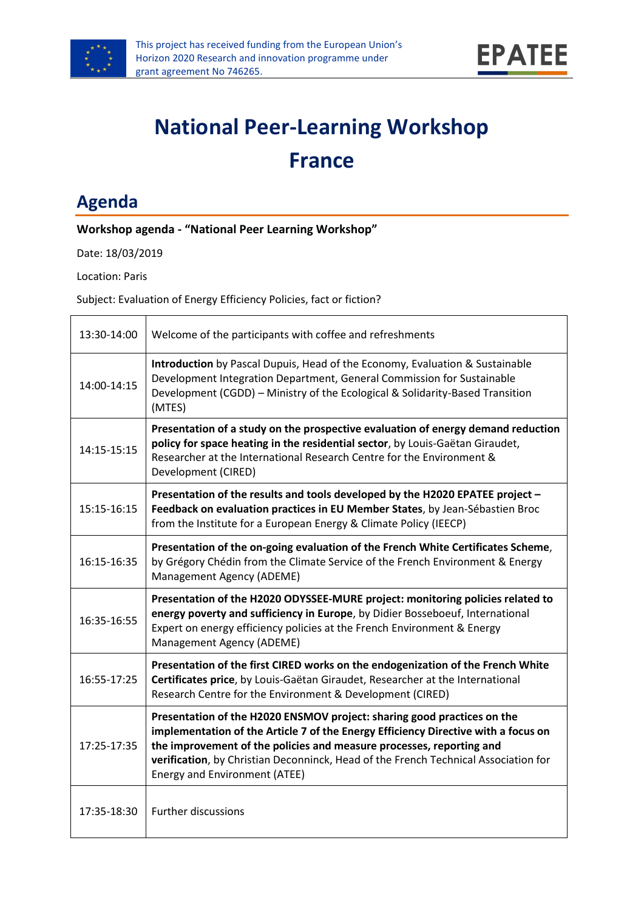



# **National Peer-Learning Workshop France**

## **Agenda**

#### **Workshop agenda - "National Peer Learning Workshop"**

Date: 18/03/2019

Location: Paris

Subject: Evaluation of Energy Efficiency Policies, fact or fiction?

| 13:30-14:00 | Welcome of the participants with coffee and refreshments                                                                                                                                                                                                                                                                                                      |
|-------------|---------------------------------------------------------------------------------------------------------------------------------------------------------------------------------------------------------------------------------------------------------------------------------------------------------------------------------------------------------------|
| 14:00-14:15 | <b>Introduction</b> by Pascal Dupuis, Head of the Economy, Evaluation & Sustainable<br>Development Integration Department, General Commission for Sustainable<br>Development (CGDD) – Ministry of the Ecological & Solidarity-Based Transition<br>(MTES)                                                                                                      |
| 14:15-15:15 | Presentation of a study on the prospective evaluation of energy demand reduction<br>policy for space heating in the residential sector, by Louis-Gaëtan Giraudet,<br>Researcher at the International Research Centre for the Environment &<br>Development (CIRED)                                                                                             |
| 15:15-16:15 | Presentation of the results and tools developed by the H2020 EPATEE project -<br>Feedback on evaluation practices in EU Member States, by Jean-Sébastien Broc<br>from the Institute for a European Energy & Climate Policy (IEECP)                                                                                                                            |
| 16:15-16:35 | Presentation of the on-going evaluation of the French White Certificates Scheme,<br>by Grégory Chédin from the Climate Service of the French Environment & Energy<br>Management Agency (ADEME)                                                                                                                                                                |
| 16:35-16:55 | Presentation of the H2020 ODYSSEE-MURE project: monitoring policies related to<br>energy poverty and sufficiency in Europe, by Didier Bosseboeuf, International<br>Expert on energy efficiency policies at the French Environment & Energy<br>Management Agency (ADEME)                                                                                       |
| 16:55-17:25 | Presentation of the first CIRED works on the endogenization of the French White<br>Certificates price, by Louis-Gaëtan Giraudet, Researcher at the International<br>Research Centre for the Environment & Development (CIRED)                                                                                                                                 |
| 17:25-17:35 | Presentation of the H2020 ENSMOV project: sharing good practices on the<br>implementation of the Article 7 of the Energy Efficiency Directive with a focus on<br>the improvement of the policies and measure processes, reporting and<br>verification, by Christian Deconninck, Head of the French Technical Association for<br>Energy and Environment (ATEE) |
| 17:35-18:30 | <b>Further discussions</b>                                                                                                                                                                                                                                                                                                                                    |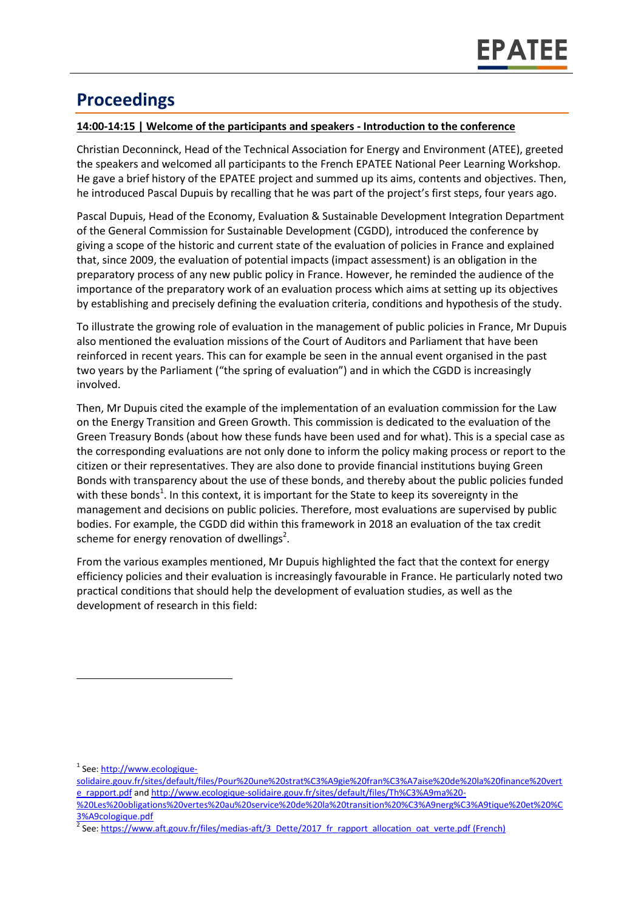### **Proceedings**

#### **14:00-14:15 | Welcome of the participants and speakers - Introduction to the conference**

Christian Deconninck, Head of the Technical Association for Energy and Environment (ATEE), greeted the speakers and welcomed all participants to the French EPATEE National Peer Learning Workshop. He gave a brief history of the EPATEE project and summed up its aims, contents and objectives. Then, he introduced Pascal Dupuis by recalling that he was part of the project's first steps, four years ago.

Pascal Dupuis, Head of the Economy, Evaluation & Sustainable Development Integration Department of the General Commission for Sustainable Development (CGDD), introduced the conference by giving a scope of the historic and current state of the evaluation of policies in France and explained that, since 2009, the evaluation of potential impacts (impact assessment) is an obligation in the preparatory process of any new public policy in France. However, he reminded the audience of the importance of the preparatory work of an evaluation process which aims at setting up its objectives by establishing and precisely defining the evaluation criteria, conditions and hypothesis of the study.

To illustrate the growing role of evaluation in the management of public policies in France, Mr Dupuis also mentioned the evaluation missions of the Court of Auditors and Parliament that have been reinforced in recent years. This can for example be seen in the annual event organised in the past two years by the Parliament ("the spring of evaluation") and in which the CGDD is increasingly involved.

Then, Mr Dupuis cited the example of the implementation of an evaluation commission for the Law on the Energy Transition and Green Growth. This commission is dedicated to the evaluation of the Green Treasury Bonds (about how these funds have been used and for what). This is a special case as the corresponding evaluations are not only done to inform the policy making process or report to the citizen or their representatives. They are also done to provide financial institutions buying Green Bonds with transparency about the use of these bonds, and thereby about the public policies funded with these bonds<sup>1</sup>. In this context, it is important for the State to keep its sovereignty in the management and decisions on public policies. Therefore, most evaluations are supervised by public bodies. For example, the CGDD did within this framework in 2018 an evaluation of the tax credit scheme for energy renovation of dwellings<sup>2</sup>.

From the various examples mentioned, Mr Dupuis highlighted the fact that the context for energy efficiency policies and their evaluation is increasingly favourable in France. He particularly noted two practical conditions that should help the development of evaluation studies, as well as the development of research in this field:

l

<sup>&</sup>lt;sup>1</sup> See[: http://www.ecologique-](http://www.ecologique-solidaire.gouv.fr/sites/default/files/Pour%20une%20strat%C3%A9gie%20fran%C3%A7aise%20de%20la%20finance%20verte_rapport.pdf)

[solidaire.gouv.fr/sites/default/files/Pour%20une%20strat%C3%A9gie%20fran%C3%A7aise%20de%20la%20finance%20vert](http://www.ecologique-solidaire.gouv.fr/sites/default/files/Pour%20une%20strat%C3%A9gie%20fran%C3%A7aise%20de%20la%20finance%20verte_rapport.pdf) [e\\_rapport.pdf](http://www.ecologique-solidaire.gouv.fr/sites/default/files/Pour%20une%20strat%C3%A9gie%20fran%C3%A7aise%20de%20la%20finance%20verte_rapport.pdf) and [http://www.ecologique-solidaire.gouv.fr/sites/default/files/Th%C3%A9ma%20-](http://www.ecologique-solidaire.gouv.fr/sites/default/files/Th%C3%A9ma%20-%20Les%20obligations%20vertes%20au%20service%20de%20la%20transition%20%C3%A9nerg%C3%A9tique%20et%20%C3%A9cologique.pdf)

[<sup>%20</sup>Les%20obligations%20vertes%20au%20service%20de%20la%20transition%20%C3%A9nerg%C3%A9tique%20et%20%C](http://www.ecologique-solidaire.gouv.fr/sites/default/files/Th%C3%A9ma%20-%20Les%20obligations%20vertes%20au%20service%20de%20la%20transition%20%C3%A9nerg%C3%A9tique%20et%20%C3%A9cologique.pdf) [3%A9cologique.pdf](http://www.ecologique-solidaire.gouv.fr/sites/default/files/Th%C3%A9ma%20-%20Les%20obligations%20vertes%20au%20service%20de%20la%20transition%20%C3%A9nerg%C3%A9tique%20et%20%C3%A9cologique.pdf)

<sup>2</sup> See[: https://www.aft.gouv.fr/files/medias-aft/3\\_Dette/2017\\_fr\\_rapport\\_allocation\\_oat\\_verte.pdf](https://www.aft.gouv.fr/files/medias-aft/3_Dette/2017_fr_rapport_allocation_oat_verte.pdf) (French)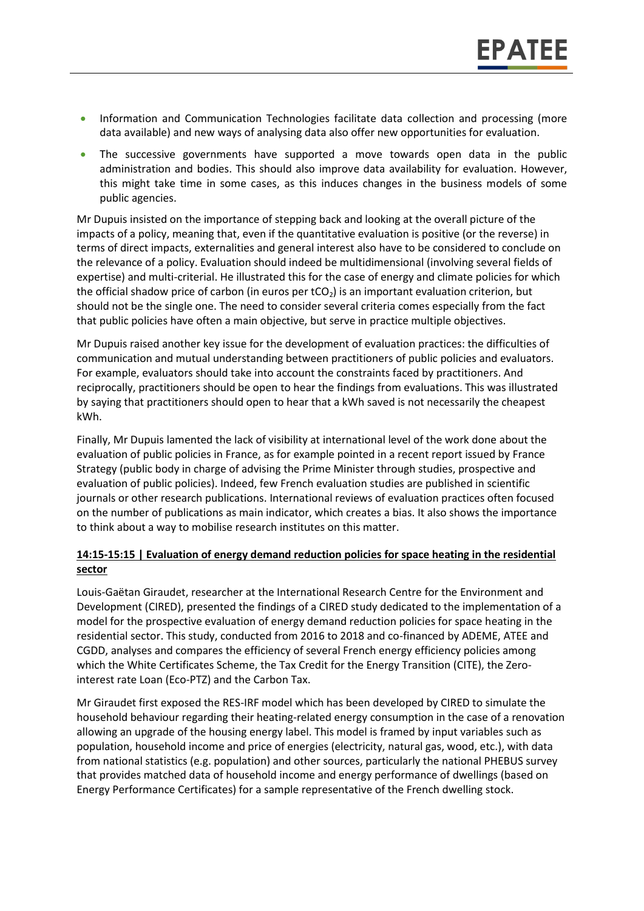- Information and Communication Technologies facilitate data collection and processing (more data available) and new ways of analysing data also offer new opportunities for evaluation.
- The successive governments have supported a move towards open data in the public administration and bodies. This should also improve data availability for evaluation. However, this might take time in some cases, as this induces changes in the business models of some public agencies.

Mr Dupuis insisted on the importance of stepping back and looking at the overall picture of the impacts of a policy, meaning that, even if the quantitative evaluation is positive (or the reverse) in terms of direct impacts, externalities and general interest also have to be considered to conclude on the relevance of a policy. Evaluation should indeed be multidimensional (involving several fields of expertise) and multi-criterial. He illustrated this for the case of energy and climate policies for which the official shadow price of carbon (in euros per  $tCO<sub>2</sub>$ ) is an important evaluation criterion, but should not be the single one. The need to consider several criteria comes especially from the fact that public policies have often a main objective, but serve in practice multiple objectives.

Mr Dupuis raised another key issue for the development of evaluation practices: the difficulties of communication and mutual understanding between practitioners of public policies and evaluators. For example, evaluators should take into account the constraints faced by practitioners. And reciprocally, practitioners should be open to hear the findings from evaluations. This was illustrated by saying that practitioners should open to hear that a kWh saved is not necessarily the cheapest kWh.

Finally, Mr Dupuis lamented the lack of visibility at international level of the work done about the evaluation of public policies in France, as for example pointed in a recent report issued by France Strategy (public body in charge of advising the Prime Minister through studies, prospective and evaluation of public policies). Indeed, few French evaluation studies are published in scientific journals or other research publications. International reviews of evaluation practices often focused on the number of publications as main indicator, which creates a bias. It also shows the importance to think about a way to mobilise research institutes on this matter.

#### **14:15-15:15 | Evaluation of energy demand reduction policies for space heating in the residential sector**

Louis-Gaëtan Giraudet, researcher at the International Research Centre for the Environment and Development (CIRED), presented the findings of a CIRED study dedicated to the implementation of a model for the prospective evaluation of energy demand reduction policies for space heating in the residential sector. This study, conducted from 2016 to 2018 and co-financed by ADEME, ATEE and CGDD, analyses and compares the efficiency of several French energy efficiency policies among which the White Certificates Scheme, the Tax Credit for the Energy Transition (CITE), the Zerointerest rate Loan (Eco-PTZ) and the Carbon Tax.

Mr Giraudet first exposed the RES-IRF model which has been developed by CIRED to simulate the household behaviour regarding their heating-related energy consumption in the case of a renovation allowing an upgrade of the housing energy label. This model is framed by input variables such as population, household income and price of energies (electricity, natural gas, wood, etc.), with data from national statistics (e.g. population) and other sources, particularly the national PHEBUS survey that provides matched data of household income and energy performance of dwellings (based on Energy Performance Certificates) for a sample representative of the French dwelling stock.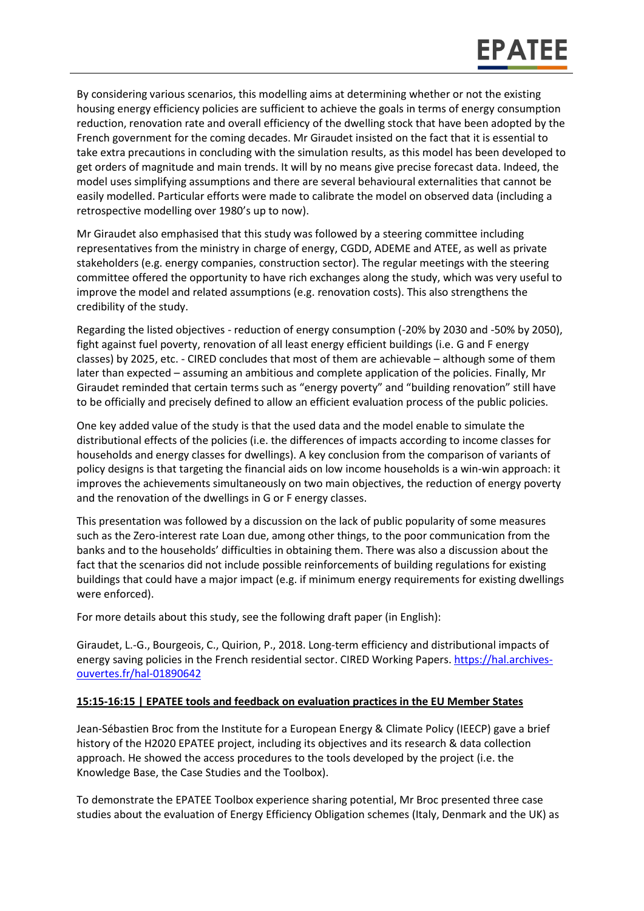By considering various scenarios, this modelling aims at determining whether or not the existing housing energy efficiency policies are sufficient to achieve the goals in terms of energy consumption reduction, renovation rate and overall efficiency of the dwelling stock that have been adopted by the French government for the coming decades. Mr Giraudet insisted on the fact that it is essential to take extra precautions in concluding with the simulation results, as this model has been developed to get orders of magnitude and main trends. It will by no means give precise forecast data. Indeed, the model uses simplifying assumptions and there are several behavioural externalities that cannot be easily modelled. Particular efforts were made to calibrate the model on observed data (including a retrospective modelling over 1980's up to now).

Mr Giraudet also emphasised that this study was followed by a steering committee including representatives from the ministry in charge of energy, CGDD, ADEME and ATEE, as well as private stakeholders (e.g. energy companies, construction sector). The regular meetings with the steering committee offered the opportunity to have rich exchanges along the study, which was very useful to improve the model and related assumptions (e.g. renovation costs). This also strengthens the credibility of the study.

Regarding the listed objectives - reduction of energy consumption (-20% by 2030 and -50% by 2050), fight against fuel poverty, renovation of all least energy efficient buildings (i.e. G and F energy classes) by 2025, etc. - CIRED concludes that most of them are achievable – although some of them later than expected – assuming an ambitious and complete application of the policies. Finally, Mr Giraudet reminded that certain terms such as "energy poverty" and "building renovation" still have to be officially and precisely defined to allow an efficient evaluation process of the public policies.

One key added value of the study is that the used data and the model enable to simulate the distributional effects of the policies (i.e. the differences of impacts according to income classes for households and energy classes for dwellings). A key conclusion from the comparison of variants of policy designs is that targeting the financial aids on low income households is a win-win approach: it improves the achievements simultaneously on two main objectives, the reduction of energy poverty and the renovation of the dwellings in G or F energy classes.

This presentation was followed by a discussion on the lack of public popularity of some measures such as the Zero-interest rate Loan due, among other things, to the poor communication from the banks and to the households' difficulties in obtaining them. There was also a discussion about the fact that the scenarios did not include possible reinforcements of building regulations for existing buildings that could have a major impact (e.g. if minimum energy requirements for existing dwellings were enforced).

For more details about this study, see the following draft paper (in English):

Giraudet, L.-G., Bourgeois, C., Quirion, P., 2018. Long-term efficiency and distributional impacts of energy saving policies in the French residential sector. CIRED Working Papers. [https://hal.archives](https://hal.archives-ouvertes.fr/hal-01890642)[ouvertes.fr/hal-01890642](https://hal.archives-ouvertes.fr/hal-01890642)

#### **15:15-16:15 | EPATEE tools and feedback on evaluation practices in the EU Member States**

Jean-Sébastien Broc from the Institute for a European Energy & Climate Policy (IEECP) gave a brief history of the H2020 EPATEE project, including its objectives and its research & data collection approach. He showed the access procedures to the tools developed by the project (i.e. the Knowledge Base, the Case Studies and the Toolbox).

To demonstrate the EPATEE Toolbox experience sharing potential, Mr Broc presented three case studies about the evaluation of Energy Efficiency Obligation schemes (Italy, Denmark and the UK) as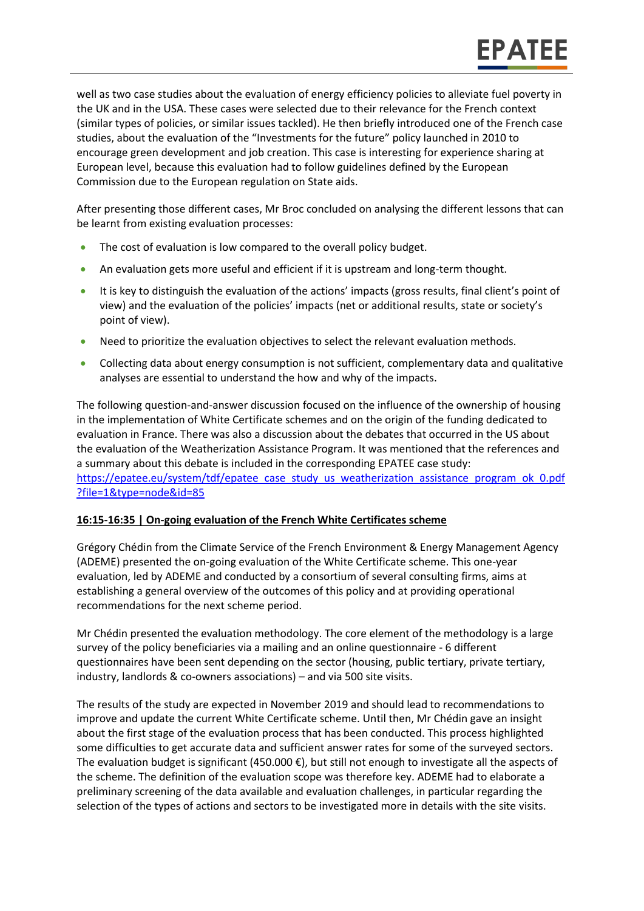well as two case studies about the evaluation of energy efficiency policies to alleviate fuel poverty in the UK and in the USA. These cases were selected due to their relevance for the French context (similar types of policies, or similar issues tackled). He then briefly introduced one of the French case studies, about the evaluation of the "Investments for the future" policy launched in 2010 to encourage green development and job creation. This case is interesting for experience sharing at European level, because this evaluation had to follow guidelines defined by the European Commission due to the European regulation on State aids.

After presenting those different cases, Mr Broc concluded on analysing the different lessons that can be learnt from existing evaluation processes:

- The cost of evaluation is low compared to the overall policy budget.
- An evaluation gets more useful and efficient if it is upstream and long-term thought.
- It is key to distinguish the evaluation of the actions' impacts (gross results, final client's point of view) and the evaluation of the policies' impacts (net or additional results, state or society's point of view).
- Need to prioritize the evaluation objectives to select the relevant evaluation methods.
- Collecting data about energy consumption is not sufficient, complementary data and qualitative analyses are essential to understand the how and why of the impacts.

The following question-and-answer discussion focused on the influence of the ownership of housing in the implementation of White Certificate schemes and on the origin of the funding dedicated to evaluation in France. There was also a discussion about the debates that occurred in the US about the evaluation of the Weatherization Assistance Program. It was mentioned that the references and a summary about this debate is included in the corresponding EPATEE case study: [https://epatee.eu/system/tdf/epatee\\_case\\_study\\_us\\_weatherization\\_assistance\\_program\\_ok\\_0.pdf](https://epatee.eu/system/tdf/epatee_case_study_us_weatherization_assistance_program_ok_0.pdf?file=1&type=node&id=85) [?file=1&type=node&id=85](https://epatee.eu/system/tdf/epatee_case_study_us_weatherization_assistance_program_ok_0.pdf?file=1&type=node&id=85)

#### **16:15-16:35 | On-going evaluation of the French White Certificates scheme**

Grégory Chédin from the Climate Service of the French Environment & Energy Management Agency (ADEME) presented the on-going evaluation of the White Certificate scheme. This one-year evaluation, led by ADEME and conducted by a consortium of several consulting firms, aims at establishing a general overview of the outcomes of this policy and at providing operational recommendations for the next scheme period.

Mr Chédin presented the evaluation methodology. The core element of the methodology is a large survey of the policy beneficiaries via a mailing and an online questionnaire - 6 different questionnaires have been sent depending on the sector (housing, public tertiary, private tertiary, industry, landlords & co-owners associations) – and via 500 site visits.

The results of the study are expected in November 2019 and should lead to recommendations to improve and update the current White Certificate scheme. Until then, Mr Chédin gave an insight about the first stage of the evaluation process that has been conducted. This process highlighted some difficulties to get accurate data and sufficient answer rates for some of the surveyed sectors. The evaluation budget is significant (450.000  $\epsilon$ ), but still not enough to investigate all the aspects of the scheme. The definition of the evaluation scope was therefore key. ADEME had to elaborate a preliminary screening of the data available and evaluation challenges, in particular regarding the selection of the types of actions and sectors to be investigated more in details with the site visits.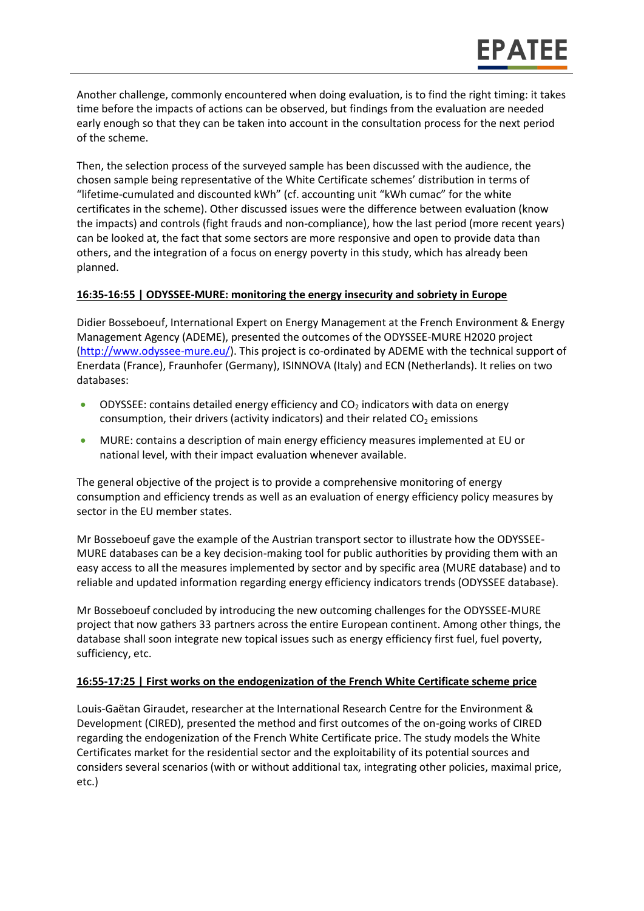Another challenge, commonly encountered when doing evaluation, is to find the right timing: it takes time before the impacts of actions can be observed, but findings from the evaluation are needed early enough so that they can be taken into account in the consultation process for the next period of the scheme.

Then, the selection process of the surveyed sample has been discussed with the audience, the chosen sample being representative of the White Certificate schemes' distribution in terms of "lifetime-cumulated and discounted kWh" (cf. accounting unit "kWh cumac" for the white certificates in the scheme). Other discussed issues were the difference between evaluation (know the impacts) and controls (fight frauds and non-compliance), how the last period (more recent years) can be looked at, the fact that some sectors are more responsive and open to provide data than others, and the integration of a focus on energy poverty in this study, which has already been planned.

#### **16:35-16:55 | ODYSSEE-MURE: monitoring the energy insecurity and sobriety in Europe**

Didier Bosseboeuf, International Expert on Energy Management at the French Environment & Energy Management Agency (ADEME), presented the outcomes of the ODYSSEE-MURE H2020 project [\(http://www.odyssee-mure.eu/\)](http://www.odyssee-mure.eu/). This project is co-ordinated by ADEME with the technical support of Enerdata (France), Fraunhofer (Germany), ISINNOVA (Italy) and ECN (Netherlands). It relies on two databases:

- ODYSSEE: contains detailed energy efficiency and  $CO<sub>2</sub>$  indicators with data on energy consumption, their drivers (activity indicators) and their related  $CO<sub>2</sub>$  emissions
- MURE: contains a description of main energy efficiency measures implemented at EU or national level, with their impact evaluation whenever available.

The general objective of the project is to provide a comprehensive monitoring of energy consumption and efficiency trends as well as an evaluation of energy efficiency policy measures by sector in the EU member states.

Mr Bosseboeuf gave the example of the Austrian transport sector to illustrate how the ODYSSEE-MURE databases can be a key decision-making tool for public authorities by providing them with an easy access to all the measures implemented by sector and by specific area (MURE database) and to reliable and updated information regarding energy efficiency indicators trends (ODYSSEE database).

Mr Bosseboeuf concluded by introducing the new outcoming challenges for the ODYSSEE-MURE project that now gathers 33 partners across the entire European continent. Among other things, the database shall soon integrate new topical issues such as energy efficiency first fuel, fuel poverty, sufficiency, etc.

#### **16:55-17:25 | First works on the endogenization of the French White Certificate scheme price**

Louis-Gaëtan Giraudet, researcher at the International Research Centre for the Environment & Development (CIRED), presented the method and first outcomes of the on-going works of CIRED regarding the endogenization of the French White Certificate price. The study models the White Certificates market for the residential sector and the exploitability of its potential sources and considers several scenarios (with or without additional tax, integrating other policies, maximal price, etc.)